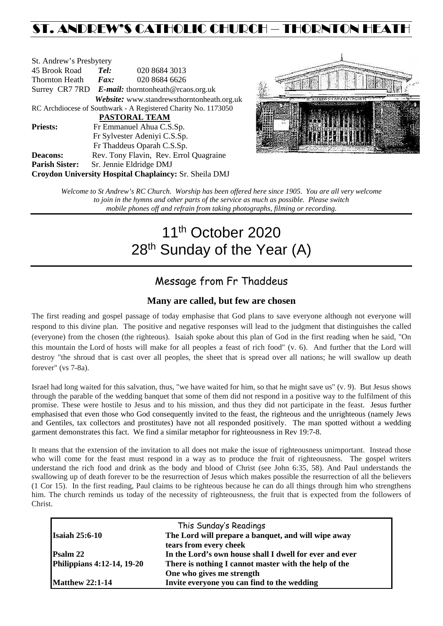## ST. ANDREW'S CATHOLIC CHURCH – THORNTON HEATH

| St. Andrew's Presbytery                                        |                                                      |                                            |  |  |  |
|----------------------------------------------------------------|------------------------------------------------------|--------------------------------------------|--|--|--|
| 45 Brook Road                                                  | Tel:                                                 | 020 8684 3013                              |  |  |  |
| Thornton Heath                                                 | $\boldsymbol{Fax:}$                                  | 020 8684 6626                              |  |  |  |
|                                                                | Surrey CR7 7RD $E$ -mail: thorntonheath@rcaos.org.uk |                                            |  |  |  |
|                                                                |                                                      | Website: www.standrewsthorntonheath.org.uk |  |  |  |
| RC Archdiocese of Southwark - A Registered Charity No. 1173050 |                                                      |                                            |  |  |  |
| <b>PASTORAL TEAM</b>                                           |                                                      |                                            |  |  |  |
| <b>Priests:</b>                                                |                                                      | Fr Emmanuel Ahua C.S.Sp.                   |  |  |  |
| Fr Sylvester Adeniyi C.S.Sp.                                   |                                                      |                                            |  |  |  |
|                                                                |                                                      | Fr Thaddeus Oparah C.S.Sp.                 |  |  |  |
| <b>Deacons:</b>                                                |                                                      | Rev. Tony Flavin, Rev. Errol Quagraine     |  |  |  |
| <b>Parish Sister:</b>                                          |                                                      | Sr. Jennie Eldridge DMJ                    |  |  |  |
| <b>Croydon University Hospital Chaplaincy: Sr. Sheila DMJ</b>  |                                                      |                                            |  |  |  |



*Welcome to St Andrew's RC Church. Worship has been offered here since 1905. You are all very welcome to join in the hymns and other parts of the service as much as possible. Please switch mobile phones off and refrain from taking photographs, filming or recording.*

# 11<sup>th</sup> October 2020 28<sup>th</sup> Sunday of the Year (A)

## Message from Fr Thaddeus

#### **Many are called, but few are chosen**

The first reading and gospel passage of today emphasise that God plans to save everyone although not everyone will respond to this divine plan. The positive and negative responses will lead to the judgment that distinguishes the called (everyone) from the chosen (the righteous). Isaiah spoke about this plan of God in the first reading when he said, "On this mountain the Lord of hosts will make for all peoples a feast of rich food" (v. 6). And further that the Lord will destroy "the shroud that is cast over all peoples, the sheet that is spread over all nations; he will swallow up death forever" (vs 7-8a).

Israel had long waited for this salvation, thus, "we have waited for him, so that he might save us" (v. 9). But Jesus shows through the parable of the wedding banquet that some of them did not respond in a positive way to the fulfilment of this promise. These were hostile to Jesus and to his mission, and thus they did not participate in the feast. Jesus further emphasised that even those who God consequently invited to the feast, the righteous and the unrighteous (namely Jews and Gentiles, tax collectors and prostitutes) have not all responded positively. The man spotted without a wedding garment demonstrates this fact. We find a similar metaphor for righteousness in Rev 19:7-8.

It means that the extension of the invitation to all does not make the issue of righteousness unimportant. Instead those who will come for the feast must respond in a way as to produce the fruit of righteousness. The gospel writers understand the rich food and drink as the body and blood of Christ (see John 6:35, 58). And Paul understands the swallowing up of death forever to be the resurrection of Jesus which makes possible the resurrection of all the believers (1 Cor 15). In the first reading, Paul claims to be righteous because he can do all things through him who strengthens him. The church reminds us today of the necessity of righteousness, the fruit that is expected from the followers of Christ.

|                                   | This Sunday's Readings                                  |  |
|-----------------------------------|---------------------------------------------------------|--|
| <b>Isaiah 25:6-10</b>             | The Lord will prepare a banquet, and will wipe away     |  |
|                                   | tears from every cheek                                  |  |
| <b>Psalm 22</b>                   | In the Lord's own house shall I dwell for ever and ever |  |
| <b>Philippians 4:12-14, 19-20</b> | There is nothing I cannot master with the help of the   |  |
|                                   | One who gives me strength                               |  |
| <b>Matthew 22:1-14</b>            | Invite everyone you can find to the wedding             |  |